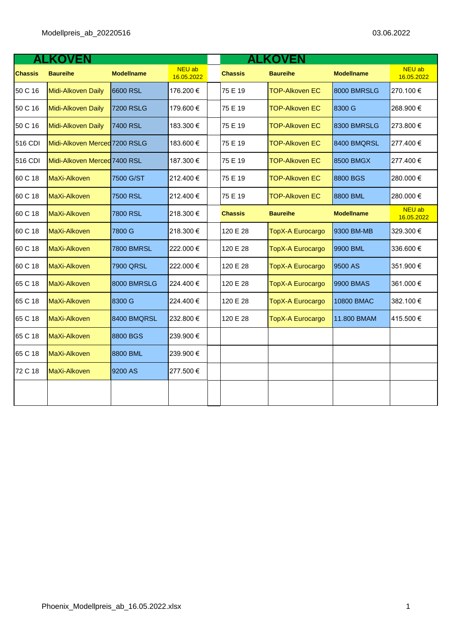|                | <b>ALKOVEN</b>                |                   |                      |  | <b>ALKOVEN</b> |                         |                   |                      |  |
|----------------|-------------------------------|-------------------|----------------------|--|----------------|-------------------------|-------------------|----------------------|--|
| <b>Chassis</b> | <b>Baureihe</b>               | <b>Modellname</b> | NEU ab<br>16.05.2022 |  | <b>Chassis</b> | <b>Baureihe</b>         | <b>Modellname</b> | NEU ab<br>16.05.2022 |  |
| 50 C 16        | Midi-Alkoven Daily            | 6600 RSL          | 176.200€             |  | 75 E 19        | <b>TOP-Alkoven EC</b>   | 8000 BMRSLG       | 270.100€             |  |
| 50 C 16        | Midi-Alkoven Daily            | <b>7200 RSLG</b>  | 179.600€             |  | 75 E 19        | <b>TOP-Alkoven EC</b>   | 8300 G            | 268.900€             |  |
| 50 C 16        | Midi-Alkoven Daily            | 7400 RSL          | 183.300 €            |  | 75 E 19        | <b>TOP-Alkoven EC</b>   | 8300 BMRSLG       | 273.800€             |  |
| 516 CDI        | Midi-Alkoven Merced 7200 RSLG |                   | 183.600 €            |  | 75 E 19        | <b>TOP-Alkoven EC</b>   | 8400 BMQRSL       | 277.400€             |  |
| 516 CDI        | Midi-Alkoven Merced 7400 RSL  |                   | 187.300 €            |  | 75 E 19        | <b>TOP-Alkoven EC</b>   | 8500 BMGX         | 277.400€             |  |
| 60 C 18        | MaXi-Alkoven                  | 7500 G/ST         | 212.400 €            |  | 75 E 19        | <b>TOP-Alkoven EC</b>   | 8800 BGS          | 280.000€             |  |
| 60 C 18        | MaXi-Alkoven                  | 7500 RSL          | 212.400€             |  | 75 E 19        | <b>TOP-Alkoven EC</b>   | 8800 BML          | 280.000€             |  |
| 60 C 18        | MaXi-Alkoven                  | 7800 RSL          | 218.300€             |  | <b>Chassis</b> | <b>Baureihe</b>         | <b>Modellname</b> | NEU ab<br>16.05.2022 |  |
| 60 C 18        | MaXi-Alkoven                  | 7800 G            | 218.300€             |  | 120 E 28       | <b>TopX-A Eurocargo</b> | 9300 BM-MB        | 329.300€             |  |
| 60 C 18        | MaXi-Alkoven                  | <b>7800 BMRSL</b> | 222.000€             |  | 120 E 28       | <b>TopX-A Eurocargo</b> | 9900 BML          | 336.600€             |  |
| 60 C 18        | MaXi-Alkoven                  | 7900 QRSL         | 222.000 €            |  | 120 E 28       | <b>TopX-A Eurocargo</b> | 9500 AS           | 351.900 €            |  |
| 65 C 18        | MaXi-Alkoven                  | 8000 BMRSLG       | 224.400€             |  | 120 E 28       | <b>TopX-A Eurocargo</b> | 9900 BMAS         | 361.000€             |  |
| 65 C 18        | MaXi-Alkoven                  | 8300 G            | 224.400€             |  | 120 E 28       | <b>TopX-A Eurocargo</b> | 10800 BMAC        | 382.100 €            |  |
| 65 C 18        | MaXi-Alkoven                  | 8400 BMQRSL       | 232.800 €            |  | 120 E 28       | <b>TopX-A Eurocargo</b> | 11.800 BMAM       | 415.500€             |  |
| 65 C 18        | MaXi-Alkoven                  | 8800 BGS          | 239.900€             |  |                |                         |                   |                      |  |
| 65 C 18        | MaXi-Alkoven                  | 8800 BML          | 239.900€             |  |                |                         |                   |                      |  |
| 72 C 18        | MaXi-Alkoven                  | 9200 AS           | 277.500€             |  |                |                         |                   |                      |  |
|                |                               |                   |                      |  |                |                         |                   |                      |  |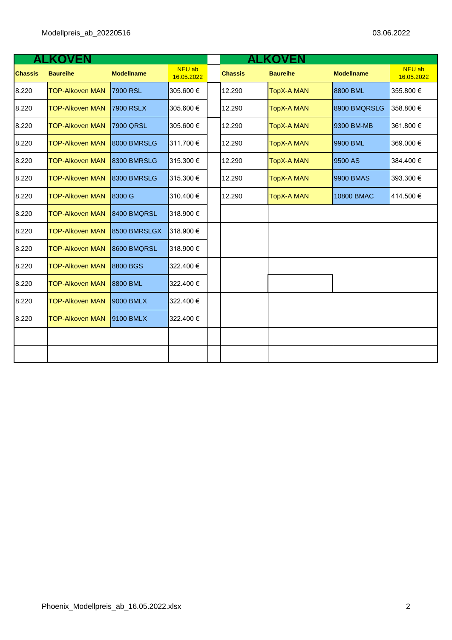|                | <b>LKOVEN</b>          |                   |                             |  | <b>ALKOVEN</b> |                   |                   |                      |  |
|----------------|------------------------|-------------------|-----------------------------|--|----------------|-------------------|-------------------|----------------------|--|
| <b>Chassis</b> | <b>Baureihe</b>        | <b>Modellname</b> | <b>NEU ab</b><br>16.05.2022 |  | <b>Chassis</b> | <b>Baureihe</b>   | <b>Modellname</b> | NEU ab<br>16.05.2022 |  |
| 8.220          | <b>TOP-Alkoven MAN</b> | 7900 RSL          | 305.600€                    |  | 12.290         | <b>TopX-A MAN</b> | 8800 BML          | 355.800€             |  |
| 8.220          | <b>TOP-Alkoven MAN</b> | <b>7900 RSLX</b>  | 305.600€                    |  | 12.290         | <b>TopX-A MAN</b> | 8900 BMQRSLG      | 358.800 €            |  |
| 8.220          | <b>TOP-Alkoven MAN</b> | 7900 QRSL         | 305.600€                    |  | 12.290         | <b>TopX-A MAN</b> | 9300 BM-MB        | 361.800€             |  |
| 8.220          | <b>TOP-Alkoven MAN</b> | 8000 BMRSLG       | 311.700 €                   |  | 12.290         | <b>TopX-A MAN</b> | 9900 BML          | 369.000 €            |  |
| 8.220          | <b>TOP-Alkoven MAN</b> | 8300 BMRSLG       | 315.300 €                   |  | 12.290         | <b>TopX-A MAN</b> | 9500 AS           | 384.400€             |  |
| 8.220          | <b>TOP-Alkoven MAN</b> | 8300 BMRSLG       | 315.300 €                   |  | 12.290         | <b>TopX-A MAN</b> | 9900 BMAS         | 393.300 €            |  |
| 8.220          | <b>TOP-Alkoven MAN</b> | 8300 G            | 310.400 €                   |  | 12.290         | <b>TopX-A MAN</b> | 10800 BMAC        | 414.500€             |  |
| 8.220          | <b>TOP-Alkoven MAN</b> | 8400 BMQRSL       | 318.900 €                   |  |                |                   |                   |                      |  |
| 8.220          | <b>TOP-Alkoven MAN</b> | 8500 BMRSLGX      | 318.900 €                   |  |                |                   |                   |                      |  |
| 8.220          | <b>TOP-Alkoven MAN</b> | 8600 BMQRSL       | 318.900 €                   |  |                |                   |                   |                      |  |
| 8.220          | <b>TOP-Alkoven MAN</b> | 8800 BGS          | 322.400 €                   |  |                |                   |                   |                      |  |
| 8.220          | <b>TOP-Alkoven MAN</b> | 8800 BML          | 322.400 €                   |  |                |                   |                   |                      |  |
| 8.220          | <b>TOP-Alkoven MAN</b> | 9000 BMLX         | 322.400 €                   |  |                |                   |                   |                      |  |
| 8.220          | <b>TOP-Alkoven MAN</b> | 9100 BMLX         | 322.400 €                   |  |                |                   |                   |                      |  |
|                |                        |                   |                             |  |                |                   |                   |                      |  |
|                |                        |                   |                             |  |                |                   |                   |                      |  |